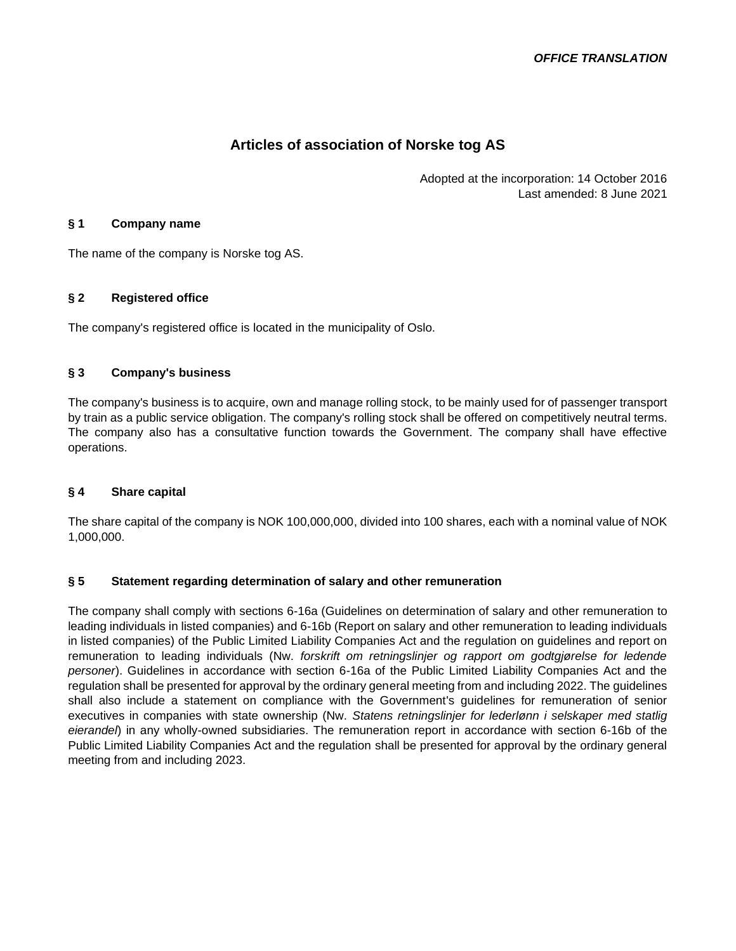# **Articles of association of Norske tog AS**

Adopted at the incorporation: 14 October 2016 Last amended: 8 June 2021

#### **§ 1 Company name**

The name of the company is Norske tog AS.

## **§ 2 Registered office**

The company's registered office is located in the municipality of Oslo.

## **§ 3 Company's business**

The company's business is to acquire, own and manage rolling stock, to be mainly used for of passenger transport by train as a public service obligation. The company's rolling stock shall be offered on competitively neutral terms. The company also has a consultative function towards the Government. The company shall have effective operations.

## **§ 4 Share capital**

The share capital of the company is NOK 100,000,000, divided into 100 shares, each with a nominal value of NOK 1,000,000.

## **§ 5 Statement regarding determination of salary and other remuneration**

The company shall comply with sections 6-16a (Guidelines on determination of salary and other remuneration to leading individuals in listed companies) and 6-16b (Report on salary and other remuneration to leading individuals in listed companies) of the Public Limited Liability Companies Act and the regulation on guidelines and report on remuneration to leading individuals (Nw. *forskrift om retningslinjer og rapport om godtgjørelse for ledende personer*). Guidelines in accordance with section 6-16a of the Public Limited Liability Companies Act and the regulation shall be presented for approval by the ordinary general meeting from and including 2022. The guidelines shall also include a statement on compliance with the Government's guidelines for remuneration of senior executives in companies with state ownership (Nw. *Statens retningslinjer for lederlønn i selskaper med statlig eierandel*) in any wholly-owned subsidiaries. The remuneration report in accordance with section 6-16b of the Public Limited Liability Companies Act and the regulation shall be presented for approval by the ordinary general meeting from and including 2023.